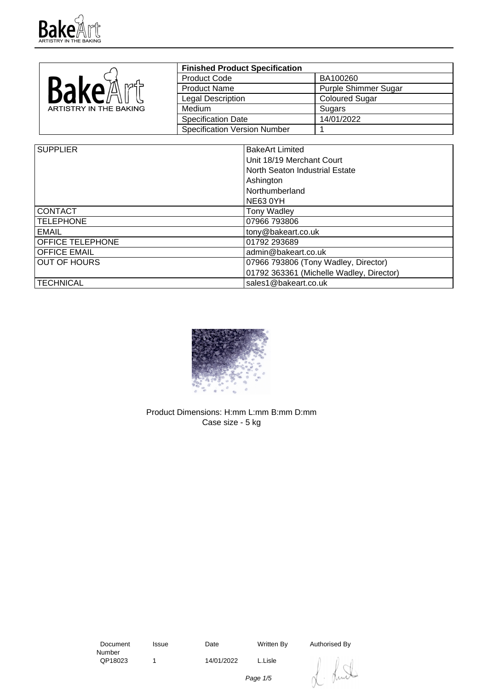

|                        | <b>Finished Product Specification</b> |                             |
|------------------------|---------------------------------------|-----------------------------|
|                        | <b>Product Code</b>                   | BA100260                    |
| <b>Bake</b> A          | <b>Product Name</b>                   | <b>Purple Shimmer Sugar</b> |
|                        | Legal Description                     | <b>Coloured Sugar</b>       |
| ARTISTRY IN THE BAKING | <b>Medium</b>                         | Sugars                      |
|                        | <b>Specification Date</b>             | 14/01/2022                  |
|                        | <b>Specification Version Number</b>   |                             |

| <b>SUPPLIER</b>     | <b>BakeArt Limited</b>                   |  |
|---------------------|------------------------------------------|--|
|                     | Unit 18/19 Merchant Court                |  |
|                     | North Seaton Industrial Estate           |  |
|                     | Ashington                                |  |
|                     | Northumberland                           |  |
|                     | NE63 0YH                                 |  |
| <b>CONTACT</b>      | <b>Tony Wadley</b>                       |  |
| <b>TELEPHONE</b>    | 07966 793806                             |  |
| <b>EMAIL</b>        | tony@bakeart.co.uk                       |  |
| OFFICE TELEPHONE    | 01792 293689                             |  |
| <b>OFFICE EMAIL</b> | admin@bakeart.co.uk                      |  |
| <b>OUT OF HOURS</b> | 07966 793806 (Tony Wadley, Director)     |  |
|                     | 01792 363361 (Michelle Wadley, Director) |  |
| <b>TECHNICAL</b>    | sales1@bakeart.co.uk                     |  |



Product Dimensions: H:mm L:mm B:mm D:mm Case size - 5 kg

 Document Number<br>QP18023 1 14/01/2022 L.Lisle

Issue Date Written By Authorised By



Page 1/5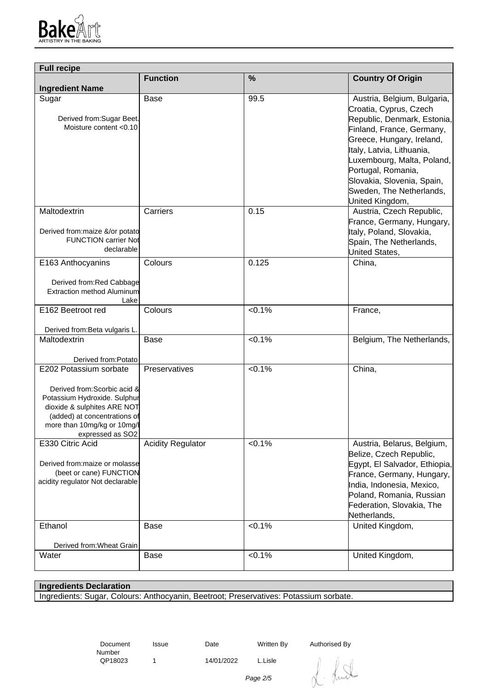

| <b>Full recipe</b>                                                                                                                                                                                       |                          |           |                                                                                                                                                                                                                                                                                                              |
|----------------------------------------------------------------------------------------------------------------------------------------------------------------------------------------------------------|--------------------------|-----------|--------------------------------------------------------------------------------------------------------------------------------------------------------------------------------------------------------------------------------------------------------------------------------------------------------------|
| <b>Ingredient Name</b>                                                                                                                                                                                   | <b>Function</b>          | %         | <b>Country Of Origin</b>                                                                                                                                                                                                                                                                                     |
| Sugar<br>Derived from: Sugar Beet.<br>Moisture content <0.10                                                                                                                                             | <b>Base</b>              | 99.5      | Austria, Belgium, Bulgaria,<br>Croatia, Cyprus, Czech<br>Republic, Denmark, Estonia,<br>Finland, France, Germany,<br>Greece, Hungary, Ireland,<br>Italy, Latvia, Lithuania,<br>Luxembourg, Malta, Poland,<br>Portugal, Romania,<br>Slovakia, Slovenia, Spain,<br>Sweden, The Netherlands,<br>United Kingdom, |
| Maltodextrin<br>Derived from: maize &/or potato<br><b>FUNCTION carrier Not</b><br>declarable                                                                                                             | Carriers                 | 0.15      | Austria, Czech Republic,<br>France, Germany, Hungary,<br>Italy, Poland, Slovakia,<br>Spain, The Netherlands,<br>United States,                                                                                                                                                                               |
| E163 Anthocyanins<br>Derived from:Red Cabbage<br>Extraction method Aluminum<br>Lake                                                                                                                      | Colours                  | 0.125     | China,                                                                                                                                                                                                                                                                                                       |
| E162 Beetroot red<br>Derived from: Beta vulgaris L.                                                                                                                                                      | Colours                  | $< 0.1\%$ | France,                                                                                                                                                                                                                                                                                                      |
| Maltodextrin<br>Derived from:Potato                                                                                                                                                                      | Base                     | $< 0.1\%$ | Belgium, The Netherlands,                                                                                                                                                                                                                                                                                    |
| E202 Potassium sorbate<br>Derived from: Scorbic acid &<br>Potassium Hydroxide. Sulphur<br>dioxide & sulphites ARE NOT<br>(added) at concentrations of<br>more than 10mg/kg or 10mg/l<br>expressed as SO2 | Preservatives            | $< 0.1\%$ | China,                                                                                                                                                                                                                                                                                                       |
| E330 Citric Acid<br>Derived from: maize or molasse<br>(beet or cane) FUNCTION<br>acidity regulator Not declarable                                                                                        | <b>Acidity Regulator</b> | $< 0.1\%$ | Austria, Belarus, Belgium,<br>Belize, Czech Republic,<br>Egypt, El Salvador, Ethiopia,<br>France, Germany, Hungary,<br>India, Indonesia, Mexico,<br>Poland, Romania, Russian<br>Federation, Slovakia, The<br>Netherlands,                                                                                    |
| Ethanol<br>Derived from: Wheat Grain                                                                                                                                                                     | Base                     | $< 0.1\%$ | United Kingdom,                                                                                                                                                                                                                                                                                              |
| Water                                                                                                                                                                                                    | <b>Base</b>              | $< 0.1\%$ | United Kingdom,                                                                                                                                                                                                                                                                                              |

## **Ingredients Declaration**

Ingredients: Sugar, Colours: Anthocyanin, Beetroot; Preservatives: Potassium sorbate.

 Document Number<br>QP18023

1 14/01/2022 L.Lisle

Issue Date Written By Authorised By

hut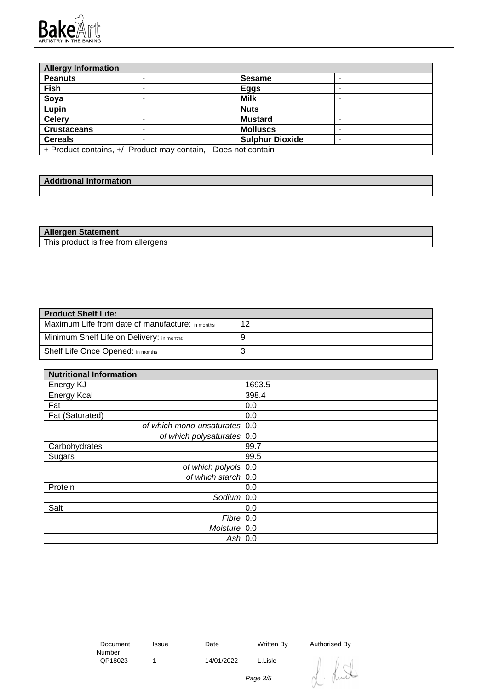

| <b>Allergy Information</b>               |                                                                 |                 |  |
|------------------------------------------|-----------------------------------------------------------------|-----------------|--|
| <b>Peanuts</b>                           |                                                                 | <b>Sesame</b>   |  |
| Fish                                     |                                                                 | <b>Eggs</b>     |  |
| Soya                                     |                                                                 | <b>Milk</b>     |  |
| Lupin                                    |                                                                 | <b>Nuts</b>     |  |
| <b>Celery</b>                            |                                                                 | <b>Mustard</b>  |  |
| <b>Crustaceans</b>                       |                                                                 | <b>Molluscs</b> |  |
| <b>Sulphur Dioxide</b><br><b>Cereals</b> |                                                                 |                 |  |
|                                          | + Product contains, +/- Product may contain, - Does not contain |                 |  |

| <b>Additional Information</b> |  |
|-------------------------------|--|
|                               |  |

| <b>Allergen Statement</b>           |  |
|-------------------------------------|--|
| This product is free from allergens |  |

| <b>Product Shelf Life:</b>                       |    |
|--------------------------------------------------|----|
| Maximum Life from date of manufacture: in months | 12 |
| Minimum Shelf Life on Delivery: in months        |    |
| Shelf Life Once Opened: in months                | ັ  |

| <b>Nutritional Information</b> |        |
|--------------------------------|--------|
| Energy KJ                      | 1693.5 |
| <b>Energy Kcal</b>             | 398.4  |
| Fat                            | 0.0    |
| Fat (Saturated)                | 0.0    |
| of which mono-unsaturates 0.0  |        |
| of which polysaturates 0.0     |        |
| Carbohydrates                  | 99.7   |
| Sugars                         | 99.5   |
| of which polyols 0.0           |        |
| of which starch 0.0            |        |
| Protein                        | 0.0    |
| Sodium <sup>1</sup> 0.0        |        |
| Salt                           | 0.0    |
| Fibre 0.0                      |        |
| Moisture 0.0                   |        |
| Ash                            | 0.0    |

 Document Number<br>QP18023

1 14/01/2022 L.Lisle

Issue Date Written By Authorised By

Runt

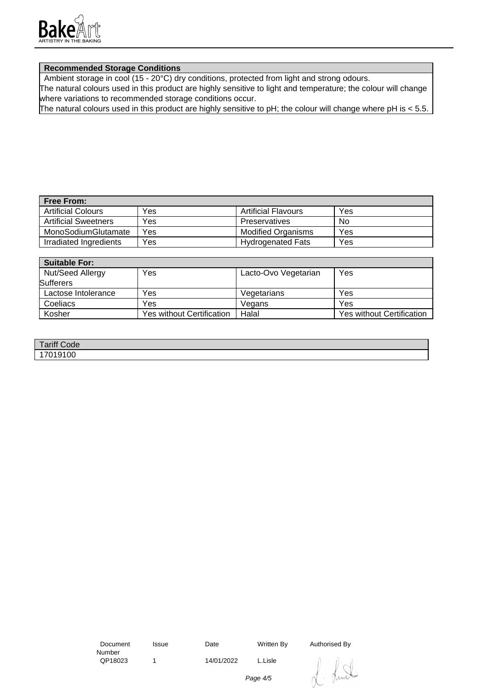

## **Recommended Storage Conditions**

Ambient storage in cool (15 - 20°C) dry conditions, protected from light and strong odours.

The natural colours used in this product are highly sensitive to light and temperature; the colour will change where variations to recommended storage conditions occur.

The natural colours used in this product are highly sensitive to pH; the colour will change where pH is < 5.5.

| <b>Free From:</b>           |     |                           |     |
|-----------------------------|-----|---------------------------|-----|
| <b>Artificial Colours</b>   | Yes | Artificial Flavours       | Yes |
| <b>Artificial Sweetners</b> | Yes | Preservatives             | No  |
| MonoSodiumGlutamate         | Yes | <b>Modified Organisms</b> | Yes |
| Irradiated Ingredients      | Yes | <b>Hydrogenated Fats</b>  | Yes |

| <b>Suitable For:</b> |                                  |                      |                                  |
|----------------------|----------------------------------|----------------------|----------------------------------|
| Nut/Seed Allergy     | Yes                              | Lacto-Ovo Vegetarian | Yes                              |
| <b>Sufferers</b>     |                                  |                      |                                  |
| Lactose Intolerance  | Yes                              | Vegetarians          | Yes                              |
| Coeliacs             | Yes                              | Vegans               | Yes                              |
| Kosher               | <b>Yes without Certification</b> | Halal                | <b>Yes without Certification</b> |

| <b>Tariff Code</b> |  |
|--------------------|--|
| 10100<br>υu        |  |

 Document Number<br>QP18023

1 14/01/2022 L.Lisle

Issue Date Written By Authorised By